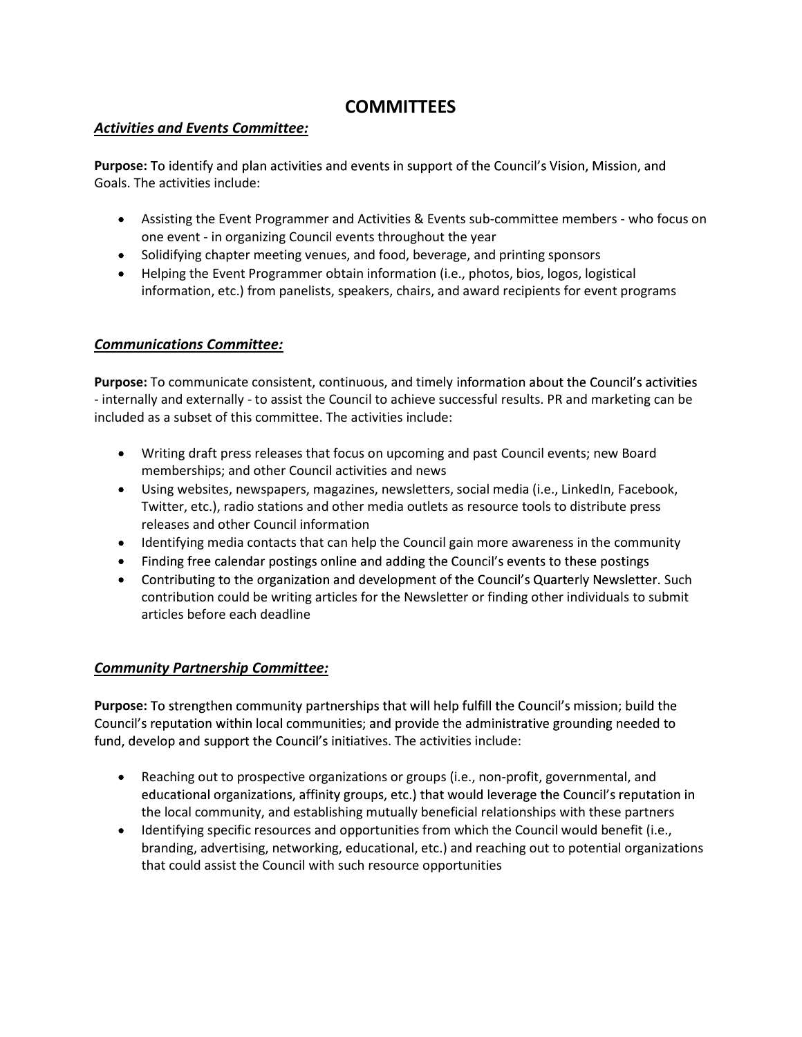# **COMMITTEES**

### Activities and Events Committee:

Purpose: To identify and plan activities and events in support of the Council's Vision, Mission, and Goals. The activities include:

- Assisting the Event Programmer and Activities & Events sub-committee members who focus on one event - in organizing Council events throughout the year
- Solidifying chapter meeting venues, and food, beverage, and printing sponsors
- Helping the Event Programmer obtain information (i.e., photos, bios, logos, logistical information, etc.) from panelists, speakers, chairs, and award recipients for event programs

#### Communications Committee:

Purpose: To communicate consistent, continuous, and timely information about the Council's activities - internally and externally - to assist the Council to achieve successful results. PR and marketing can be included as a subset of this committee. The activities include:

- Writing draft press releases that focus on upcoming and past Council events; new Board memberships; and other Council activities and news
- Using websites, newspapers, magazines, newsletters, social media (i.e., LinkedIn, Facebook, Twitter, etc.), radio stations and other media outlets as resource tools to distribute press releases and other Council information
- Identifying media contacts that can help the Council gain more awareness in the community
- Finding free calendar postings online and adding the Council's events to these postings
- Contributing to the organization and development of the Council's Quarterly Newsletter. Such contribution could be writing articles for the Newsletter or finding other individuals to submit articles before each deadline

## Community Partnership Committee:

Purpose: To strengthen community partnerships that will help fulfill the Council's mission; build the Council's reputation within local communities; and provide the administrative grounding needed to fund, develop and support the Council's initiatives. The activities include:

- Reaching out to prospective organizations or groups (i.e., non-profit, governmental, and educational organizations, affinity groups, etc.) that would leverage the Council's reputation in the local community, and establishing mutually beneficial relationships with these partners
- Identifying specific resources and opportunities from which the Council would benefit (i.e., branding, advertising, networking, educational, etc.) and reaching out to potential organizations that could assist the Council with such resource opportunities